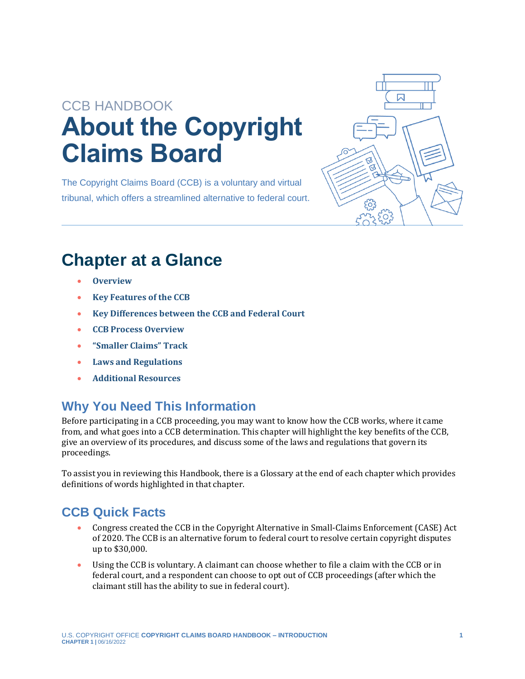# CCB HANDBOOK **About the Copyright Claims Board**

The Copyright Claims Board (CCB) is a voluntary and virtual tribunal, which offers a streamlined alternative to federal court.



## **Chapter at a Glance**

- **[Overview](#page-1-0)**
- **[Key Features of the CCB](#page-2-0)**
- **[Key Differences between the CCB and Federal Court](#page-3-0)**
- **[CCB Process Overview](#page-6-0)**
- **["Smaller Claims" Track](#page-7-0)**
- **[Laws and Regulations](#page-7-1)**
- **[Additional Resources](#page-8-0)**

### **Why You Need This Information**

Before participating in a CCB proceeding, you may want to know how the CCB works, where it came from, and what goes into a CCB determination. This chapter will highlight the key benefits of the CCB, give an overview of its procedures, and discuss some of the laws and regulations that govern its proceedings.

To assist you in reviewing this Handbook, there is a Glossary at the end of each chapter which provides definitions of words highlighted in that chapter.

### **CCB Quick Facts**

- Congress created the CCB in the Copyright Alternative in Small-Claims Enforcement (CASE) Act of 2020. The CCB is an alternative forum to federal court to resolve certain copyright disputes up to \$30,000.
- Using the CCB is voluntary. A claimant can choose whether to file a claim with the CCB or in federal court, and a respondent can choose to opt out of CCB proceedings (after which the claimant still has the ability to sue in federal court).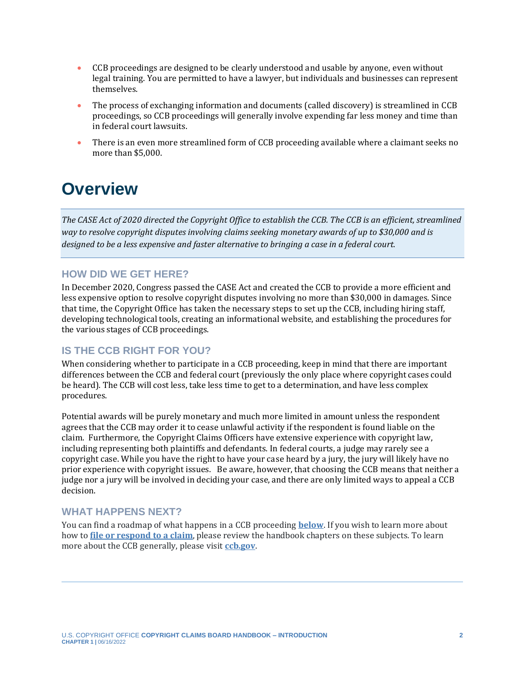- CCB proceedings are designed to be clearly understood and usable by anyone, even without legal training. You are permitted to have a lawyer, but individuals and businesses can represent themselves.
- The process of exchanging information and documents (called discovery) is streamlined in CCB proceedings, so CCB proceedings will generally involve expending far less money and time than in federal court lawsuits.
- There is an even more streamlined form of CCB proceeding available where a claimant seeks no more than \$5,000.

## <span id="page-1-0"></span>**Overview**

*The CASE Act of 2020 directed the Copyright Office to establish the CCB. The CCB is an efficient, streamlined way to resolve copyright disputes involving claims seeking monetary awards of up to \$30,000 and is designed to be a less expensive and faster alternative to bringing a case in a federal court.*

#### **HOW DID WE GET HERE?**

In December 2020, Congress passed the CASE Act and created the CCB to provide a more efficient and less expensive option to resolve copyright disputes involving no more than \$30,000 in damages. Since that time, the Copyright Office has taken the necessary steps to set up the CCB, including hiring staff, developing technological tools, creating an informational website, and establishing the procedures for the various stages of CCB proceedings.

#### **IS THE CCB RIGHT FOR YOU?**

When considering whether to participate in a CCB proceeding, keep in mind that there are important differences between the CCB and federal court (previously the only place where copyright cases could be heard). The CCB will cost less, take less time to get to a determination, and have less complex procedures.

Potential awards will be purely monetary and much more limited in amount unless the respondent agrees that the CCB may order it to cease unlawful activity if the respondent is found liable on the claim. Furthermore, the Copyright Claims Officers have extensive experience with copyright law, including representing both plaintiffs and defendants. In federal courts, a judge may rarely see a copyright case. While you have the right to have your case heard by a jury, the jury will likely have no prior experience with copyright issues. Be aware, however, that choosing the CCB means that neither a judge nor a jury will be involved in deciding your case, and there are only limited ways to appeal a CCB decision.

#### **WHAT HAPPENS NEXT?**

You can find a roadmap of what happens in a CCB proceeding **[below](#page-6-0)**. If you wish to learn more about how to **[file or respond to a claim](https://ccb.gov/handbook)**, please review the handbook chapters on these subjects. To learn more about the CCB generally, please visit **[ccb.gov](https://ccb.gov/)**.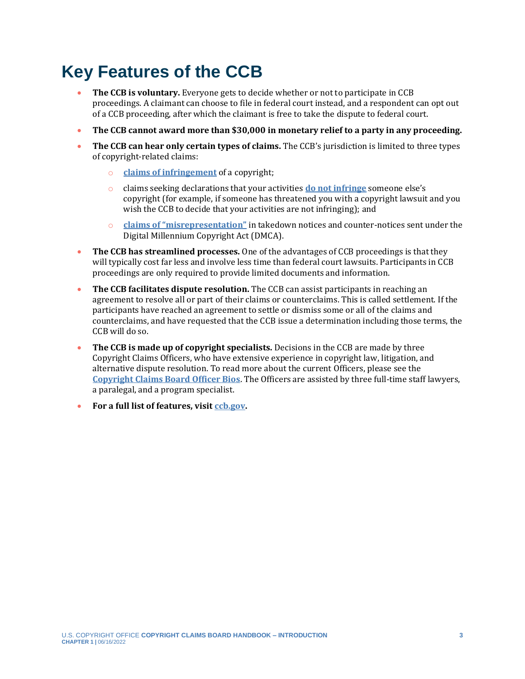## <span id="page-2-0"></span>**Key Features of the CCB**

- **The CCB is voluntary.** Everyone gets to decide whether or not to participate in CCB proceedings. A claimant can choose to file in federal court instead, and a respondent can opt out of a CCB proceeding, after which the claimant is free to take the dispute to federal court.
- **The CCB cannot award more than \$30,000 in monetary relief to a party in any proceeding.**
- The CCB can hear only certain types of claims. The CCB's jurisdiction is limited to three types of copyright-related claims:
	- o **[claims of infringement](https://ccb.gov/handbook/Infringement-Claim.pdf)** of a copyright;
	- o claims seeking declarations that your activities **[do not infringe](https://ccb.gov/handbook/NonInfringement-Claim.pdf)** someone else's copyright (for example, if someone has threatened you with a copyright lawsuit and you wish the CCB to decide that your activities are not infringing); and
	- o **[claims of "misrepresentation"](https://ccb.gov/handbook/Misrepresentation-Claim.pdf)** in takedown notices and counter-notices sent under the Digital Millennium Copyright Act (DMCA).
- **The CCB has streamlined processes.** One of the advantages of CCB proceedings is that they will typically cost far less and involve less time than federal court lawsuits. Participants in CCB proceedings are only required to provide limited documents and information.
- **The CCB facilitates dispute resolution.** The CCB can assist participants in reaching an agreement to resolve all or part of their claims or counterclaims. This is called settlement. If the participants have reached an agreement to settle or dismiss some or all of the claims and counterclaims, and have requested that the CCB issue a determination including those terms, the CCB will do so.
- **The CCB is made up of copyright specialists.** Decisions in the CCB are made by three Copyright Claims Officers, who have extensive experience in copyright law, litigation, and alternative dispute resolution. To read more about the current Officers, please see the **[Copyright Claims Board Officer Bios](https://ccb.gov/about/index.html#bios)**. The Officers are assisted by three full-time staff lawyers, a paralegal, and a program specialist.
- **For a full list of features, visit [ccb.gov.](https://ccb.gov/)**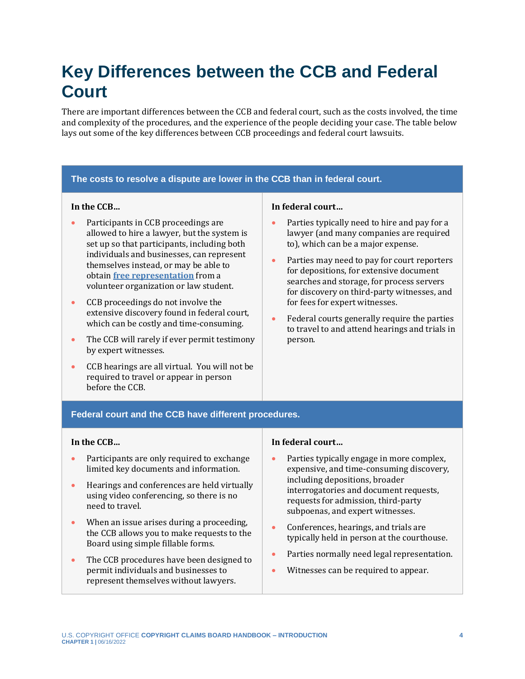## <span id="page-3-0"></span>**Key Differences between the CCB and Federal Court**

There are important differences between the CCB and federal court, such as the costs involved, the time and complexity of the procedures, and the experience of the people deciding your case. The table below lays out some of the key differences between CCB proceedings and federal court lawsuits.

#### **The costs to resolve a dispute are lower in the CCB than in federal court. In the CCB…** • Participants in CCB proceedings are allowed to hire a lawyer, but the system is set up so that participants, including both individuals and businesses, can represent themselves instead, or may be able to obtain **[free representation](https://ccb.gov/pro-bono-assistance)** from a volunteer organization or law student. • CCB proceedings do not involve the extensive discovery found in federal court, which can be costly and time-consuming. • The CCB will rarely if ever permit testimony by expert witnesses. • CCB hearings are all virtual. You will not be required to travel or appear in person before the CCB. **In federal court…** • Parties typically need to hire and pay for a lawyer (and many companies are required to), which can be a major expense. • Parties may need to pay for court reporters for depositions, for extensive document searches and storage, for process servers for discovery on third-party witnesses, and for fees for expert witnesses. • Federal courts generally require the parties to travel to and attend hearings and trials in person. **Federal court and the CCB have different procedures. In the CCB…**

- Participants are only required to exchange limited key documents and information.
- Hearings and conferences are held virtually using video conferencing, so there is no need to travel.
- When an issue arises during a proceeding, the CCB allows you to make requests to the Board using simple fillable forms.
- The CCB procedures have been designed to permit individuals and businesses to represent themselves without lawyers.

#### **In federal court…**

- Parties typically engage in more complex, expensive, and time-consuming discovery, including depositions, broader interrogatories and document requests, requests for admission, third-party subpoenas, and expert witnesses.
- Conferences, hearings, and trials are typically held in person at the courthouse.
- Parties normally need legal representation.
- Witnesses can be required to appear.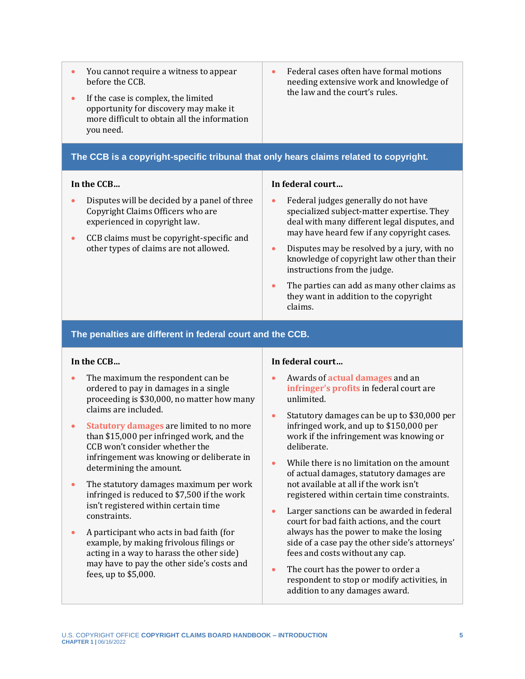| You cannot require a witness to appear<br>$\bullet$<br>before the CCB.<br>If the case is complex, the limited<br>۰<br>opportunity for discovery may make it<br>more difficult to obtain all the information<br>you need.                          | Federal cases often have formal motions<br>$\bullet$<br>needing extensive work and knowledge of<br>the law and the court's rules.       |
|---------------------------------------------------------------------------------------------------------------------------------------------------------------------------------------------------------------------------------------------------|-----------------------------------------------------------------------------------------------------------------------------------------|
| The CCB is a copyright-specific tribunal that only hears claims related to copyright.                                                                                                                                                             |                                                                                                                                         |
| In the CCB<br>Disputes will be decided by a panel of three<br>$\bullet$<br>Copyright Claims Officers who are<br>experienced in copyright law.<br>CCB claims must be copyright-specific and<br>$\bullet$<br>other types of claims are not allowed. | In federal court<br>Federal judges generally do not have<br>specialized subject-matter expertise. They                                  |
|                                                                                                                                                                                                                                                   | deal with many different legal disputes, and<br>may have heard few if any copyright cases.                                              |
|                                                                                                                                                                                                                                                   | Disputes may be resolved by a jury, with no<br>$\bullet$<br>knowledge of copyright law other than their<br>instructions from the judge. |
|                                                                                                                                                                                                                                                   | The parties can add as many other claims as<br>they want in addition to the copyright<br>claims.                                        |

#### **The penalties are different in federal court and the CCB.**

#### **In the CCB…**

- The maximum the respondent can be ordered to pay in damages in a single proceeding is \$30,000, no matter how many claims are included.
- <span id="page-4-2"></span>• **[Statutory damages](#page-9-0)** are limited to no more than \$15,000 per infringed work, and the CCB won't consider whether the infringement was knowing or deliberate in determining the amount.
- The statutory damages maximum per work infringed is reduced to \$7,500 if the work isn't registered within certain time constraints.
- A participant who acts in bad faith (for example, by making frivolous filings or acting in a way to harass the other side) may have to pay the other side's costs and fees, up to \$5,000.

#### **In federal court…**

- <span id="page-4-1"></span><span id="page-4-0"></span>• Awards of **[actual damages](#page-9-0)** and an **[infringer's profits](#page-9-0)** in federal court are unlimited.
- Statutory damages can be up to \$30,000 per infringed work, and up to \$150,000 per work if the infringement was knowing or deliberate.
- While there is no limitation on the amount of actual damages, statutory damages are not available at all if the work isn't registered within certain time constraints.
- Larger sanctions can be awarded in federal court for bad faith actions, and the court always has the power to make the losing side of a case pay the other side's attorneys' fees and costs without any cap.
- The court has the power to order a respondent to stop or modify activities, in addition to any damages award.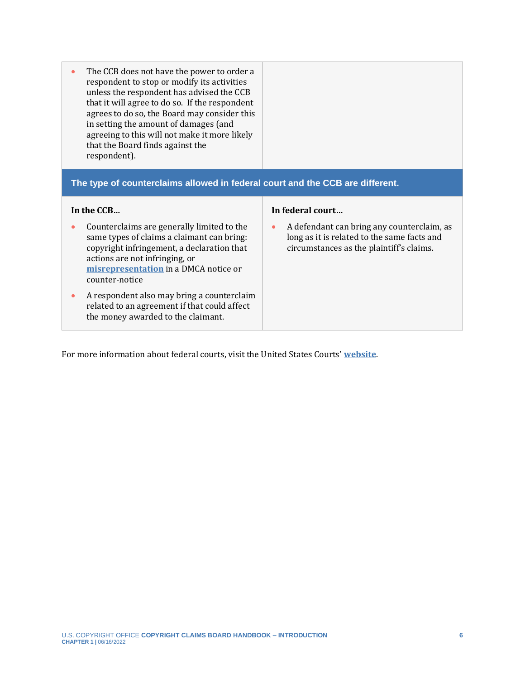| The CCB does not have the power to order a<br>respondent to stop or modify its activities<br>unless the respondent has advised the CCB<br>that it will agree to do so. If the respondent<br>agrees to do so, the Board may consider this<br>in setting the amount of damages (and<br>agreeing to this will not make it more likely<br>that the Board finds against the<br>respondent). |                                                                                                                                                    |
|----------------------------------------------------------------------------------------------------------------------------------------------------------------------------------------------------------------------------------------------------------------------------------------------------------------------------------------------------------------------------------------|----------------------------------------------------------------------------------------------------------------------------------------------------|
| The type of counterclaims allowed in federal court and the CCB are different.                                                                                                                                                                                                                                                                                                          |                                                                                                                                                    |
|                                                                                                                                                                                                                                                                                                                                                                                        |                                                                                                                                                    |
| In the CCB                                                                                                                                                                                                                                                                                                                                                                             | In federal court                                                                                                                                   |
| Counterclaims are generally limited to the<br>same types of claims a claimant can bring:<br>copyright infringement, a declaration that<br>actions are not infringing, or<br>misrepresentation in a DMCA notice or<br>counter-notice                                                                                                                                                    | A defendant can bring any counterclaim, as<br>$\bullet$<br>long as it is related to the same facts and<br>circumstances as the plaintiff's claims. |

For more information about federal courts, visit the United States Courts' **[website](https://www.uscourts.gov/)**.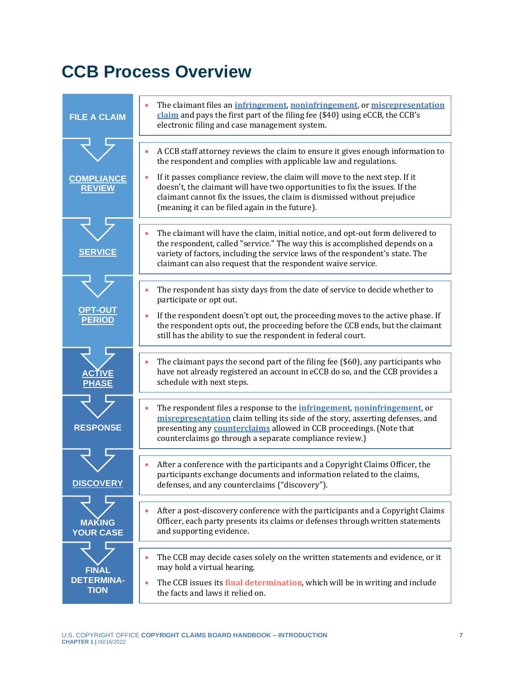## <span id="page-6-0"></span>**CCB Process Overview**

<span id="page-6-1"></span>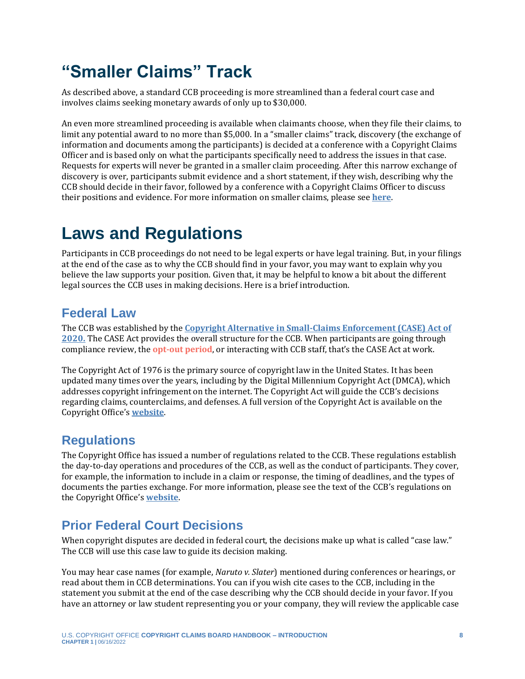## <span id="page-7-0"></span>**"Smaller Claims" Track**

As described above, a standard CCB proceeding is more streamlined than a federal court case and involves claims seeking monetary awards of only up to \$30,000.

An even more streamlined proceeding is available when claimants choose, when they file their claims, to limit any potential award to no more than \$5,000. In a "smaller claims" track, discovery (the exchange of information and documents among the participants) is decided at a conference with a Copyright Claims Officer and is based only on what the participants specifically need to address the issues in that case. Requests for experts will never be granted in a smaller claim proceeding. After this narrow exchange of discovery is over, participants submit evidence and a short statement, if they wish, describing why the CCB should decide in their favor, followed by a conference with a Copyright Claims Officer to discuss their positions and evidence. For more information on smaller claims, please see **[here](https://ccb.gov/handbook/Smaller-Claims.pdf)**.

## <span id="page-7-1"></span>**Laws and Regulations**

Participants in CCB proceedings do not need to be legal experts or have legal training. But, in your filings at the end of the case as to why the CCB should find in your favor, you may want to explain why you believe the law supports your position. Given that, it may be helpful to know a bit about the different legal sources the CCB uses in making decisions. Here is a brief introduction.

### **Federal Law**

<span id="page-7-2"></span>The CCB was established by the **[Copyright Alternative in Small-Claims Enforcement \(CASE\) Act of](https://www.copyright.gov/legislation/copyright-small-claims.pdf)  [2020.](https://www.copyright.gov/legislation/copyright-small-claims.pdf)** The CASE Act provides the overall structure for the CCB. When participants are going through compliance review, the **[opt-out period](#page-9-0)**, or interacting with CCB staff, that's the CASE Act at work.

The Copyright Act of 1976 is the primary source of copyright law in the United States. It has been updated many times over the years, including by the Digital Millennium Copyright Act (DMCA), which addresses copyright infringement on the internet. The Copyright Act will guide the CCB's decisions regarding claims, counterclaims, and defenses. A full version of the Copyright Act is available on the Copyright Office's **[website](https://www.copyright.gov/title17/)**.

### **Regulations**

The Copyright Office has issued a number of regulations related to the CCB. These regulations establish the day-to-day operations and procedures of the CCB, as well as the conduct of participants. They cover, for example, the information to include in a claim or response, the timing of deadlines, and the types of documents the parties exchange. For more information, please see the text of the CCB's regulations on the Copyright Office's **[website](https://www.copyright.gov/about/small-claims/related-rulemakings.html)**.

### **Prior Federal Court Decisions**

When copyright disputes are decided in federal court, the decisions make up what is called "case law." The CCB will use this case law to guide its decision making.

You may hear case names (for example, *Naruto v. Slater*) mentioned during conferences or hearings, or read about them in CCB determinations. You can if you wish cite cases to the CCB, including in the statement you submit at the end of the case describing why the CCB should decide in your favor. If you have an attorney or law student representing you or your company, they will review the applicable case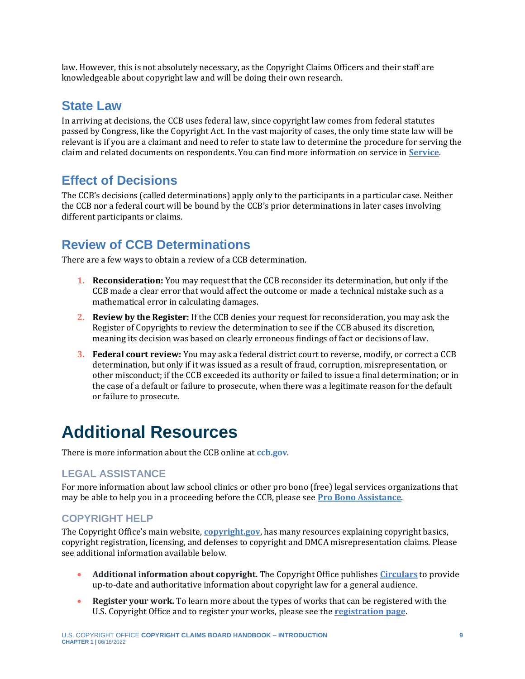law. However, this is not absolutely necessary, as the Copyright Claims Officers and their staff are knowledgeable about copyright law and will be doing their own research.

### **State Law**

In arriving at decisions, the CCB uses federal law, since copyright law comes from federal statutes passed by Congress, like the Copyright Act. In the vast majority of cases, the only time state law will be relevant is if you are a claimant and need to refer to state law to determine the procedure for serving the claim and related documents on respondents. You can find more information on service in **[Service](https://ccb.gov/handbook/Service.pdf)**.

### **Effect of Decisions**

The CCB's decisions (called determinations) apply only to the participants in a particular case. Neither the CCB nor a federal court will be bound by the CCB's prior determinations in later cases involving different participants or claims.

### **Review of CCB Determinations**

There are a few ways to obtain a review of a CCB determination.

- **1. Reconsideration:** You may request that the CCB reconsider its determination, but only if the CCB made a clear error that would affect the outcome or made a technical mistake such as a mathematical error in calculating damages.
- **2. Review by the Register:** If the CCB denies your request for reconsideration, you may ask the Register of Copyrights to review the determination to see if the CCB abused its discretion, meaning its decision was based on clearly erroneous findings of fact or decisions of law.
- **3. Federal court review:** You may ask a federal district court to reverse, modify, or correct a CCB determination, but only if it was issued as a result of fraud, corruption, misrepresentation, or other misconduct; if the CCB exceeded its authority or failed to issue a final determination; or in the case of a default or failure to prosecute, when there was a legitimate reason for the default or failure to prosecute.

## <span id="page-8-0"></span>**Additional Resources**

There is more information about the CCB online at **[ccb.gov](https://ccb.gov/)**.

### **LEGAL ASSISTANCE**

For more information about law school clinics or other pro bono (free) legal services organizations that may be able to help you in a proceeding before the CCB, please see **[Pro Bono Assistance](https://ccb.gov/pro-bono-assistance/)**.

### **COPYRIGHT HELP**

The Copyright Office's main website, **[copyright.gov](https://www.copyright.gov/)**, has many resources explaining copyright basics, copyright registration, licensing, and defenses to copyright and DMCA misrepresentation claims. Please see additional information available below.

- **Additional information about copyright.** The Copyright Office publishes **[Circulars](https://www.copyright.gov/circs/)** to provide up-to-date and authoritative information about copyright law for a general audience.
- **Register your work.** To learn more about the types of works that can be registered with the U.S. Copyright Office and to register your works, please see the **[registration page](https://www.copyright.gov/registration/)**.